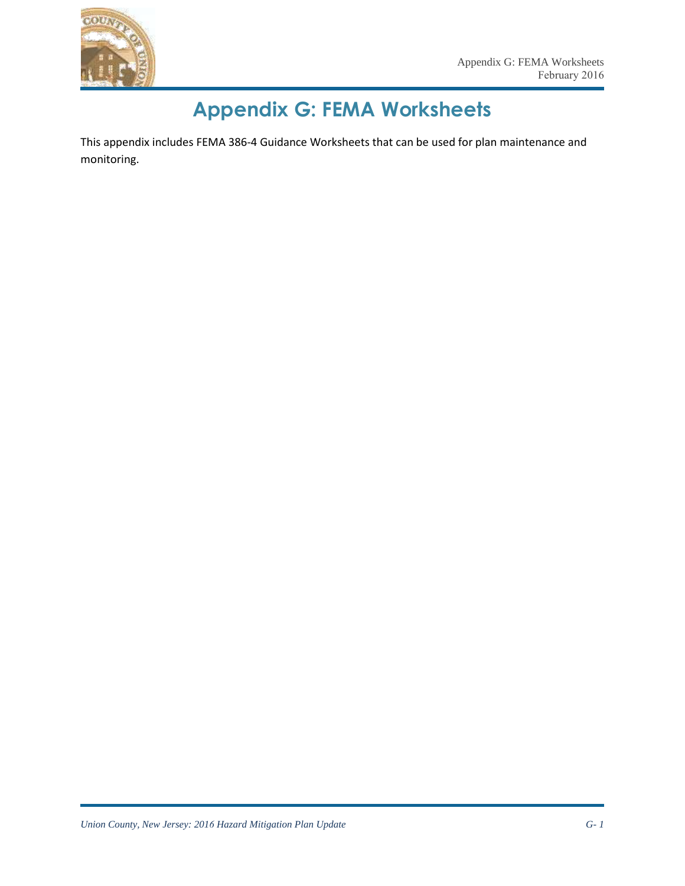

# **Appendix G: FEMA Worksheets**

This appendix includes FEMA 386-4 Guidance Worksheets that can be used for plan maintenance and monitoring.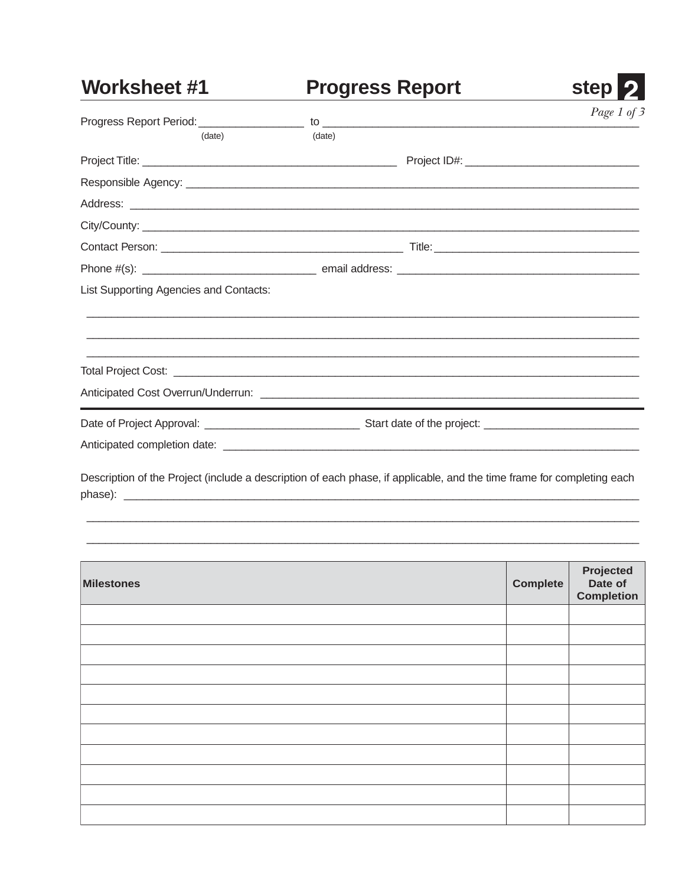#### Worksheet #1 **Progress Report**

|                                        |        |  | Page 1 of 3 |  |
|----------------------------------------|--------|--|-------------|--|
| (date)                                 | (date) |  |             |  |
|                                        |        |  |             |  |
|                                        |        |  |             |  |
|                                        |        |  |             |  |
|                                        |        |  |             |  |
|                                        |        |  |             |  |
|                                        |        |  |             |  |
| List Supporting Agencies and Contacts: |        |  |             |  |
|                                        |        |  |             |  |
|                                        |        |  |             |  |
|                                        |        |  |             |  |
|                                        |        |  |             |  |
|                                        |        |  |             |  |

**step** 

Description of the Project (include a description of each phase, if applicable, and the time frame for completing each 

| <b>Milestones</b> | Complete | Projected<br>Date of<br><b>Completion</b> |
|-------------------|----------|-------------------------------------------|
|                   |          |                                           |
|                   |          |                                           |
|                   |          |                                           |
|                   |          |                                           |
|                   |          |                                           |
|                   |          |                                           |
|                   |          |                                           |
|                   |          |                                           |
|                   |          |                                           |
|                   |          |                                           |
|                   |          |                                           |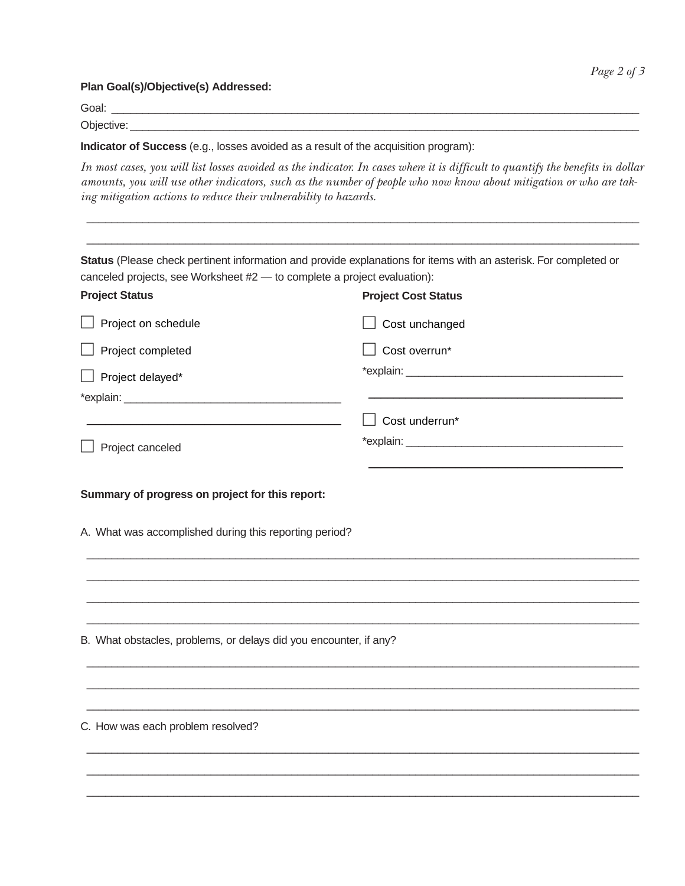**Plan Goal(s)/Objective(s) Addressed:**

Goal: \_\_\_\_\_\_\_\_\_\_\_\_\_\_\_\_\_\_\_\_\_\_\_\_\_\_\_\_\_\_\_\_\_\_\_\_\_\_\_\_\_\_\_\_\_\_\_\_\_\_\_\_\_\_\_\_\_\_\_\_\_\_\_\_\_\_\_\_\_\_\_\_\_\_\_\_\_\_\_\_\_\_\_\_\_

Objective: \_\_\_\_\_\_\_\_\_\_\_\_\_\_\_\_\_\_\_\_\_\_\_\_\_\_\_\_\_\_\_\_\_\_\_\_\_\_\_\_\_\_\_\_\_\_\_\_\_\_\_\_\_\_\_\_\_\_\_\_\_\_\_\_\_\_\_\_\_\_\_\_\_\_\_\_\_\_\_\_\_\_

*Page 2 of 3*

| Indicator of Success (e.g., losses avoided as a result of the acquisition program):<br>ing mitigation actions to reduce their vulnerability to hazards. | In most cases, you will list losses avoided as the indicator. In cases where it is difficult to quantify the benefits in dollar<br>amounts, you will use other indicators, such as the number of people who now know about mitigation or who are tak- |
|---------------------------------------------------------------------------------------------------------------------------------------------------------|-------------------------------------------------------------------------------------------------------------------------------------------------------------------------------------------------------------------------------------------------------|
| canceled projects, see Worksheet #2 - to complete a project evaluation):                                                                                | Status (Please check pertinent information and provide explanations for items with an asterisk. For completed or                                                                                                                                      |
| <b>Project Status</b>                                                                                                                                   | <b>Project Cost Status</b>                                                                                                                                                                                                                            |
| Project on schedule                                                                                                                                     | Cost unchanged                                                                                                                                                                                                                                        |
| Project completed                                                                                                                                       | Cost overrun*                                                                                                                                                                                                                                         |
| Project delayed*                                                                                                                                        |                                                                                                                                                                                                                                                       |
|                                                                                                                                                         | Cost underrun*                                                                                                                                                                                                                                        |
| Project canceled                                                                                                                                        |                                                                                                                                                                                                                                                       |
| Summary of progress on project for this report:                                                                                                         |                                                                                                                                                                                                                                                       |
| A. What was accomplished during this reporting period?                                                                                                  |                                                                                                                                                                                                                                                       |
|                                                                                                                                                         |                                                                                                                                                                                                                                                       |
| B. What obstacles, problems, or delays did you encounter, if any?                                                                                       |                                                                                                                                                                                                                                                       |
| C. How was each problem resolved?                                                                                                                       |                                                                                                                                                                                                                                                       |
|                                                                                                                                                         |                                                                                                                                                                                                                                                       |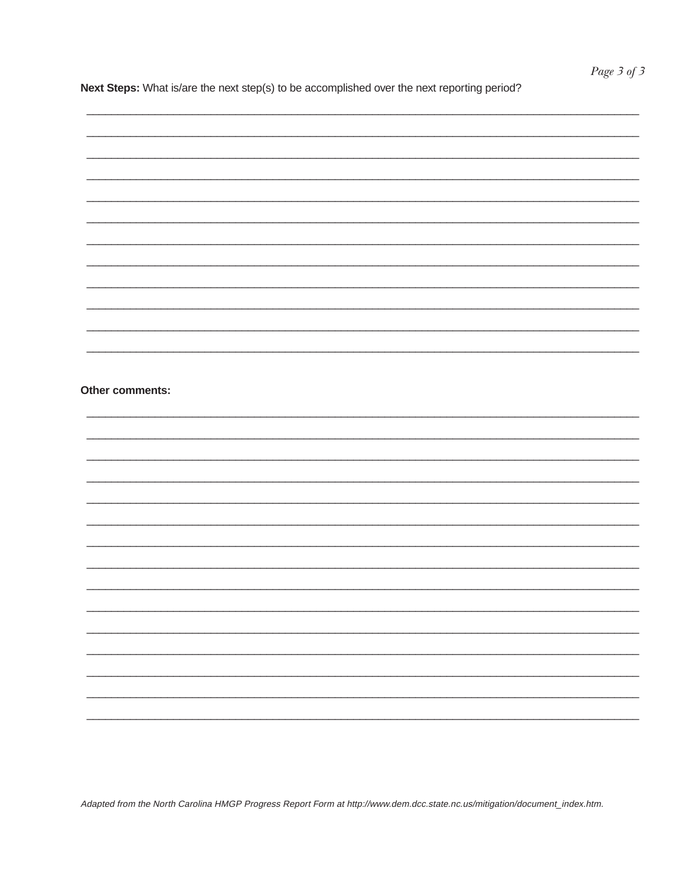Next Steps: What is/are the next step(s) to be accomplished over the next reporting period?

| Other comments: |  |  |
|-----------------|--|--|
|                 |  |  |
|                 |  |  |
|                 |  |  |
|                 |  |  |
|                 |  |  |
|                 |  |  |
|                 |  |  |
|                 |  |  |
|                 |  |  |
|                 |  |  |
|                 |  |  |
|                 |  |  |
|                 |  |  |
|                 |  |  |
|                 |  |  |
|                 |  |  |
|                 |  |  |
|                 |  |  |
|                 |  |  |
|                 |  |  |
|                 |  |  |
|                 |  |  |
|                 |  |  |
|                 |  |  |
|                 |  |  |
|                 |  |  |
|                 |  |  |
|                 |  |  |
|                 |  |  |
|                 |  |  |
|                 |  |  |

Adapted from the North Carolina HMGP Progress Report Form at http://www.dem.dcc.state.nc.us/mitigation/document\_index.htm.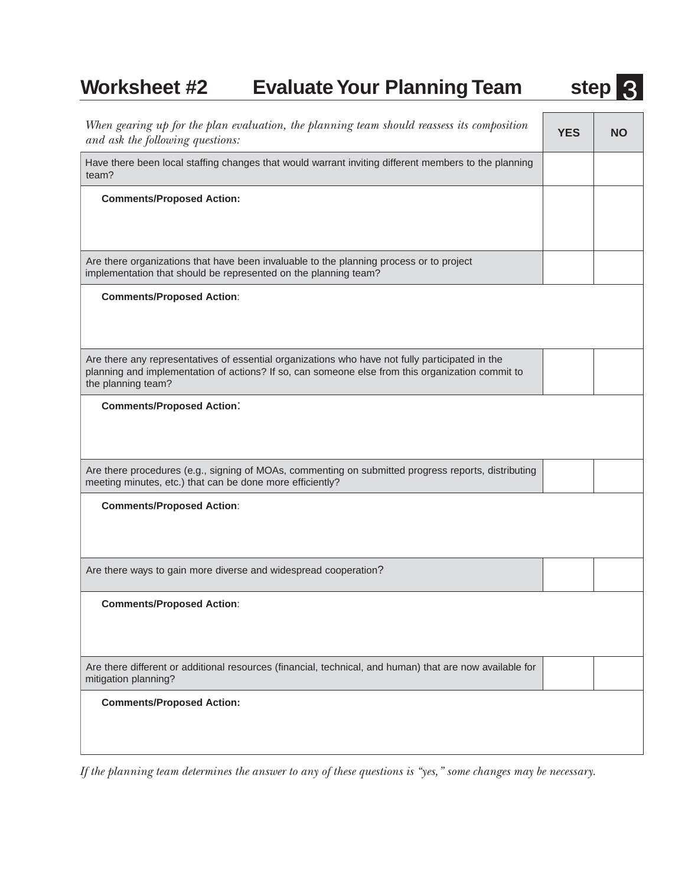## **Worksheet #2** Evaluate Your Planning Team step 3

| When gearing up for the plan evaluation, the planning team should reassess its composition<br>and ask the following questions:                                                                                            | <b>YES</b> | <b>NO</b> |
|---------------------------------------------------------------------------------------------------------------------------------------------------------------------------------------------------------------------------|------------|-----------|
| Have there been local staffing changes that would warrant inviting different members to the planning<br>team?                                                                                                             |            |           |
| <b>Comments/Proposed Action:</b>                                                                                                                                                                                          |            |           |
| Are there organizations that have been invaluable to the planning process or to project<br>implementation that should be represented on the planning team?                                                                |            |           |
| <b>Comments/Proposed Action:</b>                                                                                                                                                                                          |            |           |
| Are there any representatives of essential organizations who have not fully participated in the<br>planning and implementation of actions? If so, can someone else from this organization commit to<br>the planning team? |            |           |
| <b>Comments/Proposed Action:</b>                                                                                                                                                                                          |            |           |
| Are there procedures (e.g., signing of MOAs, commenting on submitted progress reports, distributing<br>meeting minutes, etc.) that can be done more efficiently?                                                          |            |           |
| <b>Comments/Proposed Action:</b>                                                                                                                                                                                          |            |           |
| Are there ways to gain more diverse and widespread cooperation?                                                                                                                                                           |            |           |
| <b>Comments/Proposed Action:</b>                                                                                                                                                                                          |            |           |
| Are there different or additional resources (financial, technical, and human) that are now available for<br>mitigation planning?                                                                                          |            |           |
| <b>Comments/Proposed Action:</b>                                                                                                                                                                                          |            |           |

*If the planning team determines the answer to any of these questions is "yes," some changes may be necessary.*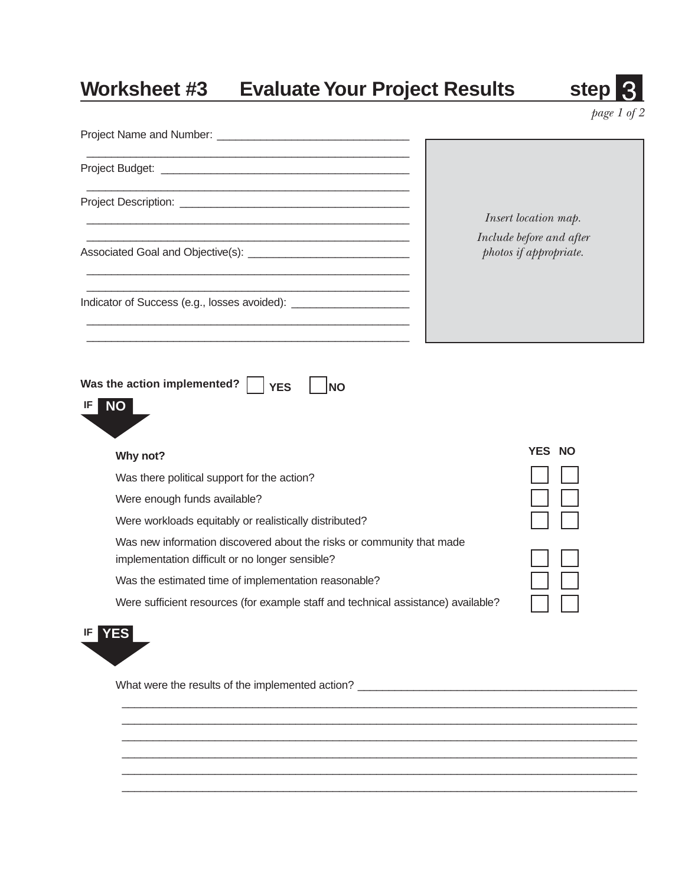## **Worksheet #3 Evaluate Your Project Results 5 Step 30 Step 30 Step 30 Step 30 Step 30 Step 30 Step 30 Step 30 Step 30 Step 30 Step 30 Step 30 Step 30 Step 30 Step 30 Step 30 Step 30 Step 30 Step 30 Step 30 Step 30 Step 30**

|--|

*page 1 of 2*

|                                                                                                                          | Insert location map.                               |
|--------------------------------------------------------------------------------------------------------------------------|----------------------------------------------------|
| Associated Goal and Objective(s): _________________________________                                                      | Include before and after<br>photos if appropriate. |
| Indicator of Success (e.g., losses avoided): _______________________                                                     |                                                    |
| Was the action implemented?<br><b>YES</b><br><b>NO</b><br><b>NO</b><br>IF.                                               | YES NO                                             |
| Why not?                                                                                                                 |                                                    |
| Was there political support for the action?                                                                              |                                                    |
| Were enough funds available?                                                                                             |                                                    |
| Were workloads equitably or realistically distributed?                                                                   |                                                    |
| Was new information discovered about the risks or community that made<br>implementation difficult or no longer sensible? |                                                    |
| Was the estimated time of implementation reasonable?                                                                     |                                                    |
| Were sufficient resources (for example staff and technical assistance) available?                                        |                                                    |
| <b>YES</b><br>IF                                                                                                         |                                                    |
| What were the results of the implemented action? ________________________________                                        |                                                    |
|                                                                                                                          |                                                    |
|                                                                                                                          |                                                    |
|                                                                                                                          |                                                    |

\_\_\_\_\_\_\_\_\_\_\_\_\_\_\_\_\_\_\_\_\_\_\_\_\_\_\_\_\_\_\_\_\_\_\_\_\_\_\_\_\_\_\_\_\_\_\_\_\_\_\_\_\_\_\_\_\_\_\_\_\_\_\_\_\_\_\_\_\_\_\_\_\_\_\_\_\_\_\_\_\_\_\_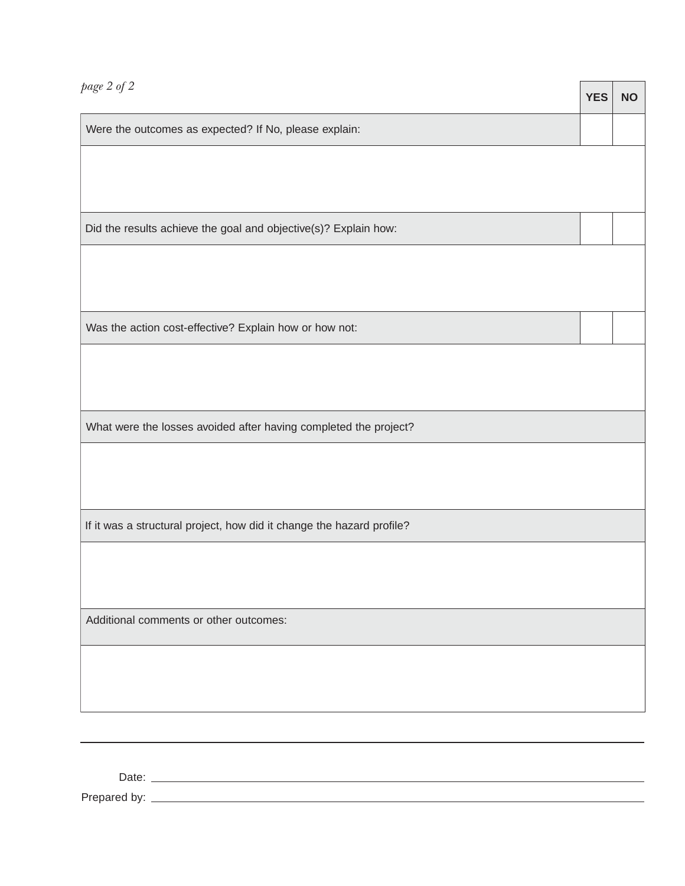| $page\ 2$ of $2$                                                      | <b>YES</b> | <b>NO</b> |  |
|-----------------------------------------------------------------------|------------|-----------|--|
| Were the outcomes as expected? If No, please explain:                 |            |           |  |
|                                                                       |            |           |  |
|                                                                       |            |           |  |
| Did the results achieve the goal and objective(s)? Explain how:       |            |           |  |
|                                                                       |            |           |  |
|                                                                       |            |           |  |
| Was the action cost-effective? Explain how or how not:                |            |           |  |
|                                                                       |            |           |  |
|                                                                       |            |           |  |
| What were the losses avoided after having completed the project?      |            |           |  |
|                                                                       |            |           |  |
|                                                                       |            |           |  |
| If it was a structural project, how did it change the hazard profile? |            |           |  |
|                                                                       |            |           |  |
|                                                                       |            |           |  |
| Additional comments or other outcomes:                                |            |           |  |
|                                                                       |            |           |  |
|                                                                       |            |           |  |
|                                                                       |            |           |  |